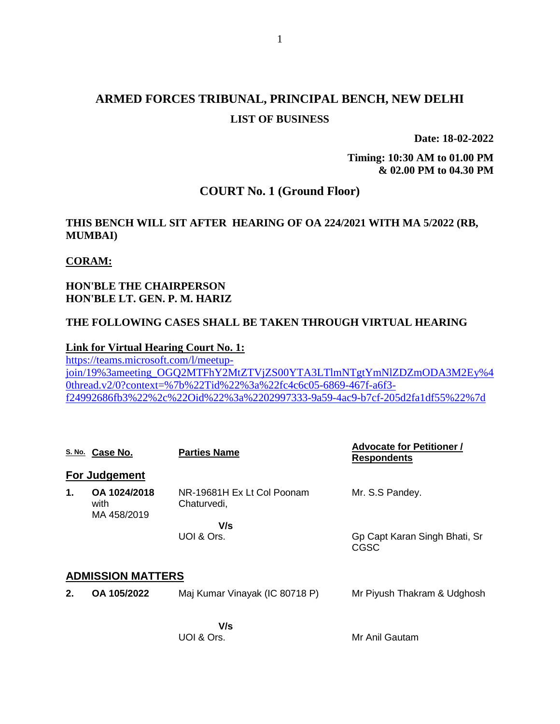# **ARMED FORCES TRIBUNAL, PRINCIPAL BENCH, NEW DELHI LIST OF BUSINESS**

**Date: 18-02-2022**

**Timing: 10:30 AM to 01.00 PM & 02.00 PM to 04.30 PM**

# **COURT No. 1 (Ground Floor)**

## **THIS BENCH WILL SIT AFTER HEARING OF OA 224/2021 WITH MA 5/2022 (RB, MUMBAI)**

### **CORAM:**

## **HON'BLE THE CHAIRPERSON HON'BLE LT. GEN. P. M. HARIZ**

### **THE FOLLOWING CASES SHALL BE TAKEN THROUGH VIRTUAL HEARING**

#### **Link for Virtual Hearing Court No. 1:**

[https://teams.microsoft.com/l/meetup](https://teams.microsoft.com/l/meetup-join/19%3ameeting_OGQ2MTFhY2MtZTVjZS00YTA3LTlmNTgtYmNlZDZmODA3M2Ey%40thread.v2/0?context=%7b%22Tid%22%3a%22fc4c6c05-6869-467f-a6f3-f24992686fb3%22%2c%22Oid%22%3a%2202997333-9a59-4ac9-b7cf-205d2fa1df55%22%7d)[join/19%3ameeting\\_OGQ2MTFhY2MtZTVjZS00YTA3LTlmNTgtYmNlZDZmODA3M2Ey%4](https://teams.microsoft.com/l/meetup-join/19%3ameeting_OGQ2MTFhY2MtZTVjZS00YTA3LTlmNTgtYmNlZDZmODA3M2Ey%40thread.v2/0?context=%7b%22Tid%22%3a%22fc4c6c05-6869-467f-a6f3-f24992686fb3%22%2c%22Oid%22%3a%2202997333-9a59-4ac9-b7cf-205d2fa1df55%22%7d) [0thread.v2/0?context=%7b%22Tid%22%3a%22fc4c6c05-6869-467f-a6f3](https://teams.microsoft.com/l/meetup-join/19%3ameeting_OGQ2MTFhY2MtZTVjZS00YTA3LTlmNTgtYmNlZDZmODA3M2Ey%40thread.v2/0?context=%7b%22Tid%22%3a%22fc4c6c05-6869-467f-a6f3-f24992686fb3%22%2c%22Oid%22%3a%2202997333-9a59-4ac9-b7cf-205d2fa1df55%22%7d) [f24992686fb3%22%2c%22Oid%22%3a%2202997333-9a59-4ac9-b7cf-205d2fa1df55%22%7d](https://teams.microsoft.com/l/meetup-join/19%3ameeting_OGQ2MTFhY2MtZTVjZS00YTA3LTlmNTgtYmNlZDZmODA3M2Ey%40thread.v2/0?context=%7b%22Tid%22%3a%22fc4c6c05-6869-467f-a6f3-f24992686fb3%22%2c%22Oid%22%3a%2202997333-9a59-4ac9-b7cf-205d2fa1df55%22%7d)

|    | S. No. Case No.                     | <b>Parties Name</b>                       | <b>Advocate for Petitioner /</b><br><b>Respondents</b> |  |  |
|----|-------------------------------------|-------------------------------------------|--------------------------------------------------------|--|--|
|    | <b>For Judgement</b>                |                                           |                                                        |  |  |
| 1. | OA 1024/2018<br>with<br>MA 458/2019 | NR-19681H Ex Lt Col Poonam<br>Chaturvedi, | Mr. S.S Pandey.                                        |  |  |
|    |                                     | V/s<br>UOI & Ors.                         | Gp Capt Karan Singh Bhati, Sr<br>CGSC                  |  |  |
|    | <b>ADMISSION MATTERS</b>            |                                           |                                                        |  |  |
| 2. | OA 105/2022                         | Maj Kumar Vinayak (IC 80718 P)            | Mr Piyush Thakram & Udghosh                            |  |  |
|    |                                     |                                           |                                                        |  |  |

 **V/s** UOI & Ors.

Mr Anil Gautam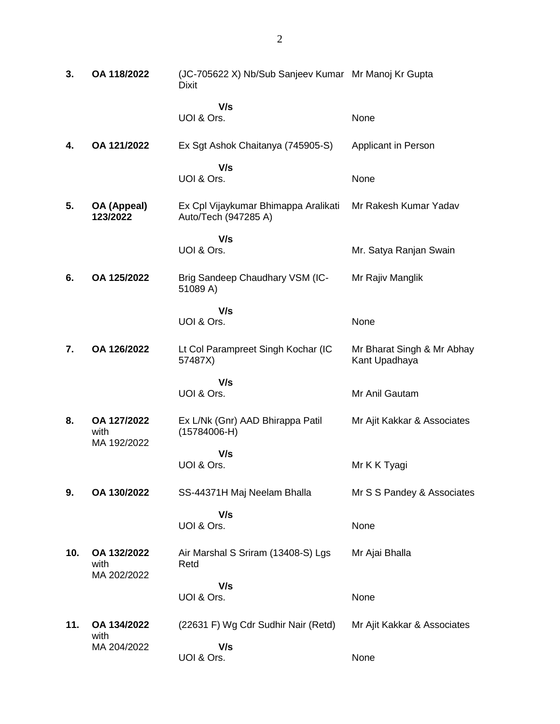| 3.  | OA 118/2022                        | (JC-705622 X) Nb/Sub Sanjeev Kumar Mr Manoj Kr Gupta<br><b>Dixit</b> |                                             |
|-----|------------------------------------|----------------------------------------------------------------------|---------------------------------------------|
|     |                                    | V/s<br>UOI & Ors.                                                    | None                                        |
| 4.  | OA 121/2022                        | Ex Sgt Ashok Chaitanya (745905-S)                                    | Applicant in Person                         |
|     |                                    | V/s<br>UOI & Ors.                                                    | None                                        |
| 5.  | OA (Appeal)<br>123/2022            | Ex Cpl Vijaykumar Bhimappa Aralikati<br>Auto/Tech (947285 A)         | Mr Rakesh Kumar Yadav                       |
|     |                                    | V/s<br>UOI & Ors.                                                    | Mr. Satya Ranjan Swain                      |
| 6.  | OA 125/2022                        | Brig Sandeep Chaudhary VSM (IC-<br>51089 A)                          | Mr Rajiv Manglik                            |
|     |                                    | V/s<br>UOI & Ors.                                                    | None                                        |
| 7.  | OA 126/2022                        | Lt Col Parampreet Singh Kochar (IC<br>57487X)                        | Mr Bharat Singh & Mr Abhay<br>Kant Upadhaya |
|     |                                    | V/s<br>UOI & Ors.                                                    | Mr Anil Gautam                              |
|     |                                    |                                                                      |                                             |
| 8.  | OA 127/2022<br>with<br>MA 192/2022 | Ex L/Nk (Gnr) AAD Bhirappa Patil<br>$(15784006-H)$                   | Mr Ajit Kakkar & Associates                 |
|     |                                    | V/s<br>UOI & Ors.                                                    | Mr K K Tyagi                                |
| 9.  | OA 130/2022                        | SS-44371H Maj Neelam Bhalla                                          | Mr S S Pandey & Associates                  |
|     |                                    | V/s<br>UOI & Ors.                                                    | None                                        |
| 10. | OA 132/2022<br>with<br>MA 202/2022 | Air Marshal S Sriram (13408-S) Lgs<br>Retd                           | Mr Ajai Bhalla                              |
|     |                                    | V/s                                                                  |                                             |
|     |                                    | UOI & Ors.                                                           | None                                        |
| 11. | OA 134/2022<br>with                | (22631 F) Wg Cdr Sudhir Nair (Retd)                                  | Mr Ajit Kakkar & Associates                 |
|     | MA 204/2022                        | V/s<br>UOI & Ors.                                                    | None                                        |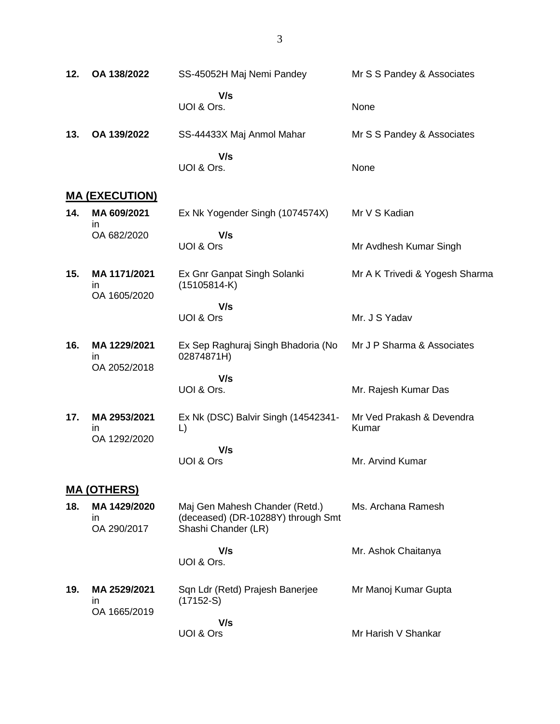**12. OA 138/2022** SS-45052H Maj Nemi Pandey  **V/s** UOI & Ors. Mr S S Pandey & Associates None **13. OA 139/2022** SS-44433X Maj Anmol Mahar  **V/s** UOI & Ors. Mr S S Pandey & Associates None

#### **MA (EXECUTION)**

- **14. MA 609/2021** in OA 682/2020 Ex Nk Yogender Singh (1074574X)  **V/s** UOI & Ors Mr V S Kadian Mr Avdhesh Kumar Singh
- **15. MA 1171/2021** in OA 1605/2020 Ex Gnr Ganpat Singh Solanki (15105814-K) Mr A K Trivedi & Yogesh Sharma
	- **V/s** UOI & Ors
- **16. MA 1229/2021** in OA 2052/2018 Ex Sep Raghuraj Singh Bhadoria (No 02874871H) Mr J P Sharma & Associates

 **V/s** UOI & Ors.

**17. MA 2953/2021** in OA 1292/2020 Ex Nk (DSC) Balvir Singh (14542341- L)  **V/s** UOI & Ors Mr Ved Prakash & Devendra Kumar Mr. Arvind Kumar

### **MA (OTHERS)**

- **18. MA 1429/2020** in OA 290/2017 Maj Gen Mahesh Chander (Retd.) (deceased) (DR-10288Y) through Smt Shashi Chander (LR) Ms. Archana Ramesh
- **V/s** UOI & Ors. Mr. Ashok Chaitanya **19. MA 2529/2021** in OA 1665/2019 Sqn Ldr (Retd) Prajesh Banerjee (17152-S)  **V/s** Mr Manoj Kumar Gupta

UOI & Ors

Mr Harish V Shankar

Mr. J S Yadav

Mr. Rajesh Kumar Das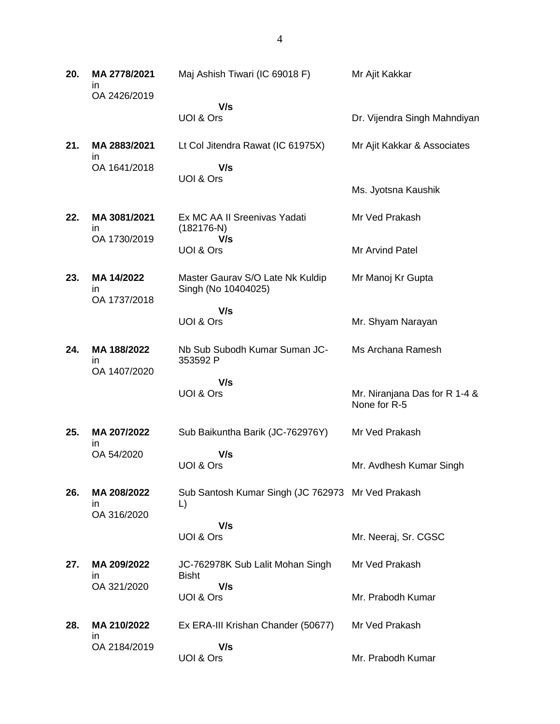**20. MA 2778/2021** in OA 2426/2019 Maj Ashish Tiwari (IC 69018 F)  **V/s** UOI & Ors Mr Ajit Kakkar Dr. Vijendra Singh Mahndiyan **21. MA 2883/2021** in OA 1641/2018 Lt Col Jitendra Rawat (IC 61975X)  **V/s** UOI & Ors Mr Ajit Kakkar & Associates Ms. Jyotsna Kaushik **22. MA 3081/2021** in OA 1730/2019 Ex MC AA II Sreenivas Yadati (182176-N)  **V/s** UOI & Ors Mr Ved Prakash Mr Arvind Patel **23. MA 14/2022** in OA 1737/2018 Master Gaurav S/O Late Nk Kuldip Singh (No 10404025)  **V/s** UOI & Ors Mr Manoj Kr Gupta Mr. Shyam Narayan **24. MA 188/2022** in OA 1407/2020 Nb Sub Subodh Kumar Suman JC-353592 P  **V/s** UOI & Ors Ms Archana Ramesh Mr. Niranjana Das for R 1-4 & None for R-5 **25. MA 207/2022** in OA 54/2020 Sub Baikuntha Barik (JC-762976Y)  **V/s** UOI & Ors Mr Ved Prakash Mr. Avdhesh Kumar Singh **26. MA 208/2022** in OA 316/2020 Sub Santosh Kumar Singh (JC 762973 Mr Ved Prakash L)  **V/s** UOI & Ors Mr. Neeraj, Sr. CGSC **27. MA 209/2022** in OA 321/2020 JC-762978K Sub Lalit Mohan Singh Bisht  **V/s** UOI & Ors Mr Ved Prakash Mr. Prabodh Kumar **28. MA 210/2022** in OA 2184/2019 Ex ERA-III Krishan Chander (50677)  **V/s** UOI & Ors Mr Ved Prakash Mr. Prabodh Kumar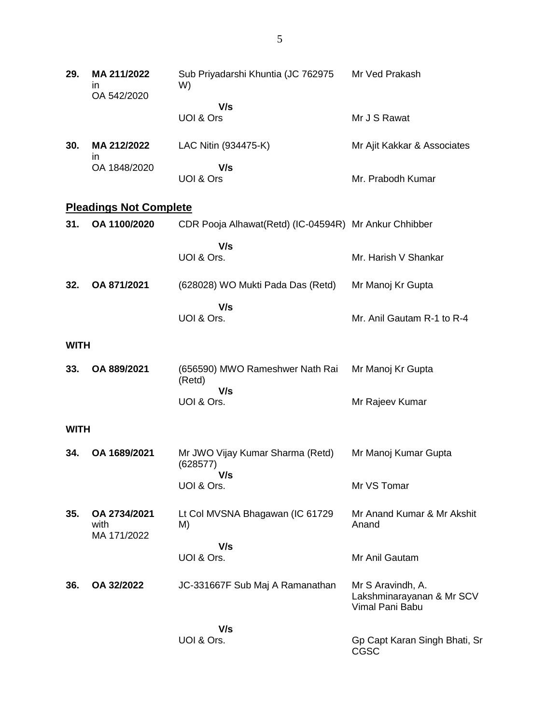| 29.         | MA 211/2022<br>ın<br>OA 542/2020    | Sub Priyadarshi Khuntia (JC 762975<br>W)              | Mr Ved Prakash                                                    |
|-------------|-------------------------------------|-------------------------------------------------------|-------------------------------------------------------------------|
|             |                                     | V/s<br>UOI & Ors                                      | Mr J S Rawat                                                      |
| 30.         | MA 212/2022<br>ın                   | LAC Nitin (934475-K)                                  | Mr Ajit Kakkar & Associates                                       |
|             | OA 1848/2020                        | V/s<br>UOI & Ors                                      | Mr. Prabodh Kumar                                                 |
|             | <b>Pleadings Not Complete</b>       |                                                       |                                                                   |
| 31.         | OA 1100/2020                        | CDR Pooja Alhawat(Retd) (IC-04594R) Mr Ankur Chhibber |                                                                   |
|             |                                     | V/s<br>UOI & Ors.                                     | Mr. Harish V Shankar                                              |
| 32.         | OA 871/2021                         | (628028) WO Mukti Pada Das (Retd)                     | Mr Manoj Kr Gupta                                                 |
|             |                                     | V/s<br>UOI & Ors.                                     | Mr. Anil Gautam R-1 to R-4                                        |
| <b>WITH</b> |                                     |                                                       |                                                                   |
| 33.         | OA 889/2021                         | (656590) MWO Rameshwer Nath Rai<br>(Retd)             | Mr Manoj Kr Gupta                                                 |
|             |                                     | V/s<br>UOI & Ors.                                     | Mr Rajeev Kumar                                                   |
| <b>WITH</b> |                                     |                                                       |                                                                   |
| 34.         | OA 1689/2021                        | Mr JWO Vijay Kumar Sharma (Retd)<br>(628577)          | Mr Manoj Kumar Gupta                                              |
|             |                                     | V/s<br>UOI & Ors.                                     | Mr VS Tomar                                                       |
| 35.         | OA 2734/2021<br>with<br>MA 171/2022 | Lt Col MVSNA Bhagawan (IC 61729<br>M)                 | Mr Anand Kumar & Mr Akshit<br>Anand                               |
|             |                                     | V/s<br>UOI & Ors.                                     | Mr Anil Gautam                                                    |
| 36.         | OA 32/2022                          | JC-331667F Sub Maj A Ramanathan                       | Mr S Aravindh, A.<br>Lakshminarayanan & Mr SCV<br>Vimal Pani Babu |
|             |                                     | V/s                                                   |                                                                   |
|             |                                     | UOI & Ors.                                            | Gp Capt Karan Singh Bhati, Sr<br>CGSC                             |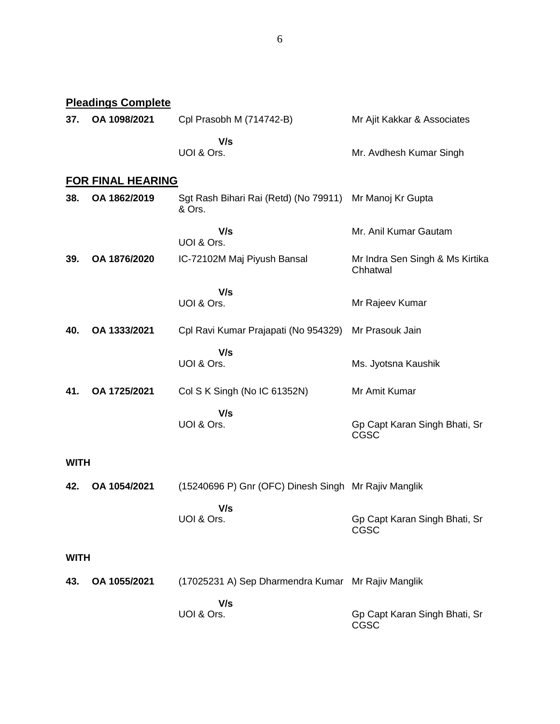|             | <b>Pleadings Complete</b> |                                                                   |                                              |  |  |
|-------------|---------------------------|-------------------------------------------------------------------|----------------------------------------------|--|--|
| 37.         | OA 1098/2021              | Cpl Prasobh M (714742-B)                                          | Mr Ajit Kakkar & Associates                  |  |  |
|             |                           | V/s<br>UOI & Ors.                                                 | Mr. Avdhesh Kumar Singh                      |  |  |
|             | <b>FOR FINAL HEARING</b>  |                                                                   |                                              |  |  |
| 38.         | OA 1862/2019              | Sgt Rash Bihari Rai (Retd) (No 79911) Mr Manoj Kr Gupta<br>& Ors. |                                              |  |  |
|             |                           | V/s<br>UOI & Ors.                                                 | Mr. Anil Kumar Gautam                        |  |  |
| 39.         | OA 1876/2020              | IC-72102M Maj Piyush Bansal                                       | Mr Indra Sen Singh & Ms Kirtika<br>Chhatwal  |  |  |
|             |                           | V/s                                                               |                                              |  |  |
|             |                           | UOI & Ors.                                                        | Mr Rajeev Kumar                              |  |  |
| 40.         | OA 1333/2021              | Cpl Ravi Kumar Prajapati (No 954329)                              | Mr Prasouk Jain                              |  |  |
|             |                           | V/s<br>UOI & Ors.                                                 | Ms. Jyotsna Kaushik                          |  |  |
| 41.         | OA 1725/2021              | Col S K Singh (No IC 61352N)                                      | Mr Amit Kumar                                |  |  |
|             |                           | V/s                                                               |                                              |  |  |
|             |                           | UOI & Ors.                                                        | Gp Capt Karan Singh Bhati, Sr<br><b>CGSC</b> |  |  |
| <b>WITH</b> |                           |                                                                   |                                              |  |  |
| 42.         | OA 1054/2021              | (15240696 P) Gnr (OFC) Dinesh Singh Mr Rajiv Manglik              |                                              |  |  |
|             |                           | V/s<br>UOI & Ors.                                                 | Gp Capt Karan Singh Bhati, Sr<br>CGSC        |  |  |
|             | <b>WITH</b>               |                                                                   |                                              |  |  |
| 43.         | OA 1055/2021              | (17025231 A) Sep Dharmendra Kumar Mr Rajiv Manglik                |                                              |  |  |
|             |                           | V/s<br>UOI & Ors.                                                 | Gp Capt Karan Singh Bhati, Sr<br>CGSC        |  |  |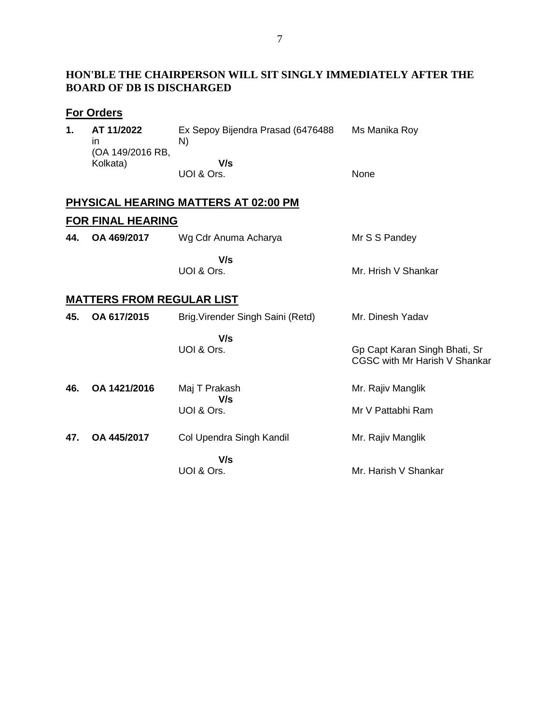## **HON'BLE THE CHAIRPERSON WILL SIT SINGLY IMMEDIATELY AFTER THE BOARD OF DB IS DISCHARGED**

# **For Orders**

| 1. | AT 11/2022<br>ın             | Ex Sepoy Bijendra Prasad (6476488)<br>N) | Ms Manika Roy |
|----|------------------------------|------------------------------------------|---------------|
|    | (OA 149/2016 RB,<br>Kolkata) | V/s<br>UOI & Ors.                        | <b>None</b>   |

# **PHYSICAL HEARING MATTERS AT 02:00 PM FOR FINAL HEARING**

| 44. | OA 469/2017 | Wg Cdr Anuma Acharya | Mr S S Pandey       |
|-----|-------------|----------------------|---------------------|
|     |             | V/s                  |                     |
|     |             | UOI & Ors.           | Mr. Hrish V Shankar |

# **MATTERS FROM REGULAR LIST**

| 45. | OA 617/2015  | Brig. Virender Singh Saini (Retd) | Mr. Dinesh Yadav                                               |
|-----|--------------|-----------------------------------|----------------------------------------------------------------|
|     |              | V/s<br>UOI & Ors.                 | Gp Capt Karan Singh Bhati, Sr<br>CGSC with Mr Harish V Shankar |
| 46. | OA 1421/2016 | Maj T Prakash                     | Mr. Rajiv Manglik                                              |
|     |              | V/s<br>UOI & Ors.                 | Mr V Pattabhi Ram                                              |
| 47. | OA 445/2017  | Col Upendra Singh Kandil          | Mr. Rajiv Manglik                                              |
|     |              | V/s<br>UOI & Ors.                 | Mr. Harish V Shankar                                           |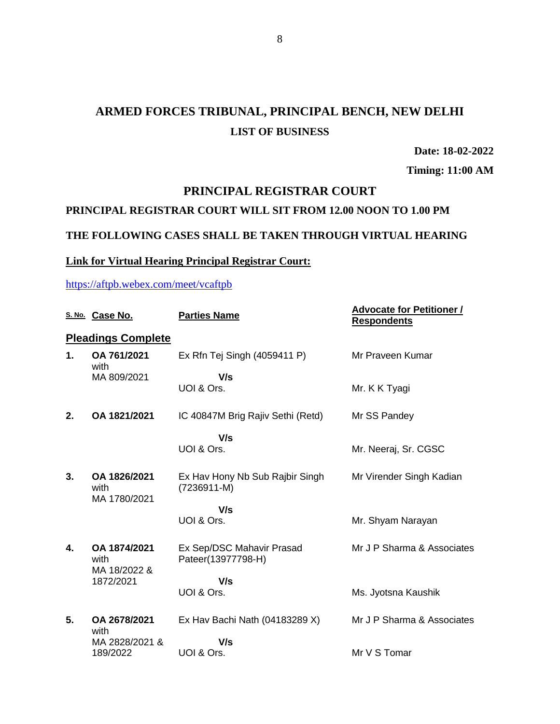# **ARMED FORCES TRIBUNAL, PRINCIPAL BENCH, NEW DELHI LIST OF BUSINESS**

**Date: 18-02-2022**

**Timing: 11:00 AM**

## **PRINCIPAL REGISTRAR COURT**

### **PRINCIPAL REGISTRAR COURT WILL SIT FROM 12.00 NOON TO 1.00 PM**

### **THE FOLLOWING CASES SHALL BE TAKEN THROUGH VIRTUAL HEARING**

#### **Link for Virtual Hearing Principal Registrar Court:**

<https://aftpb.webex.com/meet/vcaftpb>

|    | S. No. Case No.                                   | <b>Parties Name</b>                                | <b>Advocate for Petitioner /</b><br><b>Respondents</b> |
|----|---------------------------------------------------|----------------------------------------------------|--------------------------------------------------------|
|    | <b>Pleadings Complete</b>                         |                                                    |                                                        |
| 1. | OA 761/2021<br>with                               | Ex Rfn Tej Singh (4059411 P)                       | Mr Praveen Kumar                                       |
|    | MA 809/2021                                       | V/s<br>UOI & Ors.                                  | Mr. K K Tyagi                                          |
| 2. | OA 1821/2021                                      | IC 40847M Brig Rajiv Sethi (Retd)                  | Mr SS Pandey                                           |
|    |                                                   | V/s<br>UOI & Ors.                                  | Mr. Neeraj, Sr. CGSC                                   |
| 3. | OA 1826/2021<br>with<br>MA 1780/2021              | Ex Hav Hony Nb Sub Rajbir Singh<br>$(7236911 - M)$ | Mr Virender Singh Kadian                               |
|    |                                                   | V/s<br>UOI & Ors.                                  | Mr. Shyam Narayan                                      |
| 4. | OA 1874/2021<br>with<br>MA 18/2022 &<br>1872/2021 | Ex Sep/DSC Mahavir Prasad<br>Pateer(13977798-H)    | Mr J P Sharma & Associates                             |
|    |                                                   | V/s<br>UOI & Ors.                                  | Ms. Jyotsna Kaushik                                    |
| 5. | OA 2678/2021<br>with                              | Ex Hav Bachi Nath (04183289 X)                     | Mr J P Sharma & Associates                             |
|    | MA 2828/2021 &<br>189/2022                        | V/s<br>UOI & Ors.                                  | Mr V S Tomar                                           |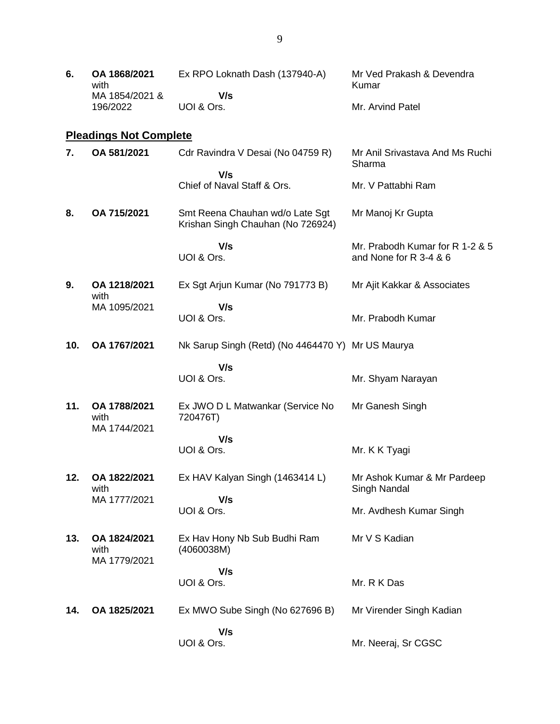| 6. | OA 1868/2021<br>with | Ex RPO Loknath Dash (137940-A) | Mr Ved Prakash & Devendra<br>Kumar |
|----|----------------------|--------------------------------|------------------------------------|
|    | MA 1854/2021 &       | V/s                            |                                    |
|    | 196/2022             | UOI & Ors.                     | Mr. Arvind Patel                   |

# **Pleadings Not Complete**

| 7.  | OA 581/2021                          | Cdr Ravindra V Desai (No 04759 R)                                    | Mr Anil Srivastava And Ms Ruchi<br>Sharma                 |
|-----|--------------------------------------|----------------------------------------------------------------------|-----------------------------------------------------------|
|     |                                      | V/s<br>Chief of Naval Staff & Ors.                                   | Mr. V Pattabhi Ram                                        |
| 8.  | OA 715/2021                          | Smt Reena Chauhan wd/o Late Sgt<br>Krishan Singh Chauhan (No 726924) | Mr Manoj Kr Gupta                                         |
|     |                                      | V/s<br>UOI & Ors.                                                    | Mr. Prabodh Kumar for R 1-2 & 5<br>and None for R 3-4 & 6 |
| 9.  | OA 1218/2021<br>with                 | Ex Sgt Arjun Kumar (No 791773 B)                                     | Mr Ajit Kakkar & Associates                               |
|     | MA 1095/2021                         | V/s<br>UOI & Ors.                                                    | Mr. Prabodh Kumar                                         |
| 10. | OA 1767/2021                         | Nk Sarup Singh (Retd) (No 4464470 Y) Mr US Maurya                    |                                                           |
|     |                                      | V/s<br>UOI & Ors.                                                    | Mr. Shyam Narayan                                         |
| 11. | OA 1788/2021<br>with<br>MA 1744/2021 | Ex JWO D L Matwankar (Service No<br>720476T)                         | Mr Ganesh Singh                                           |
|     |                                      | V/s<br>UOI & Ors.                                                    | Mr. K K Tyagi                                             |
| 12. | OA 1822/2021<br>with<br>MA 1777/2021 | Ex HAV Kalyan Singh (1463414 L)<br>V/s                               | Mr Ashok Kumar & Mr Pardeep<br>Singh Nandal               |
|     |                                      | UOI & Ors.                                                           | Mr. Avdhesh Kumar Singh                                   |
| 13. | OA 1824/2021<br>with<br>MA 1779/2021 | Ex Hav Hony Nb Sub Budhi Ram<br>(4060038M)                           | Mr V S Kadian                                             |
|     |                                      | V/s<br>UOI & Ors.                                                    | Mr. R K Das                                               |
| 14. | OA 1825/2021                         | Ex MWO Sube Singh (No 627696 B)                                      | Mr Virender Singh Kadian                                  |
|     |                                      | V/s<br>UOI & Ors.                                                    | Mr. Neeraj, Sr CGSC                                       |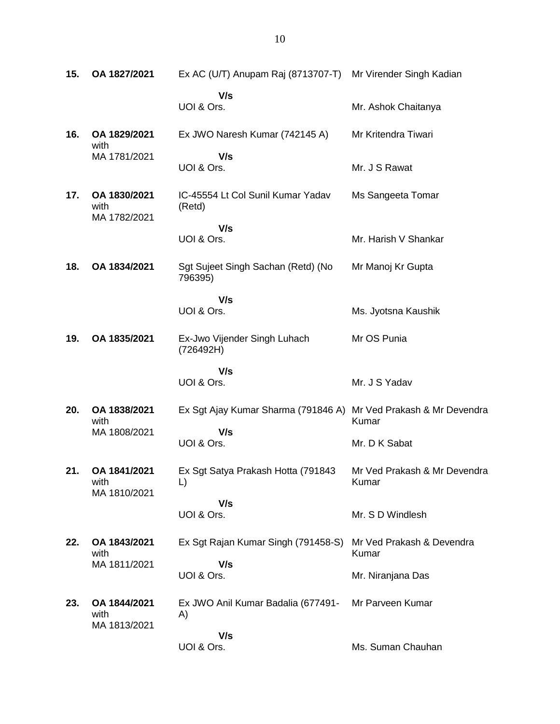**15. OA 1827/2021** Ex AC (U/T) Anupam Raj (8713707-T) Mr Virender Singh Kadian  **V/s** UOI & Ors. Mr. Ashok Chaitanya **16. OA 1829/2021** with MA 1781/2021 Ex JWO Naresh Kumar (742145 A)  **V/s** UOI & Ors. Mr Kritendra Tiwari Mr. J S Rawat **17. OA 1830/2021** with MA 1782/2021 IC-45554 Lt Col Sunil Kumar Yadav (Retd)  **V/s** UOI & Ors. Ms Sangeeta Tomar Mr. Harish V Shankar **18. OA 1834/2021** Sgt Sujeet Singh Sachan (Retd) (No 796395)  **V/s** UOI & Ors. Mr Manoj Kr Gupta Ms. Jyotsna Kaushik **19. OA 1835/2021** Ex-Jwo Vijender Singh Luhach (726492H)  **V/s** UOI & Ors. Mr OS Punia Mr. J S Yadav **20. OA 1838/2021** with MA 1808/2021 Ex Sgt Ajay Kumar Sharma (791846 A) Mr Ved Prakash & Mr Devendra  **V/s** UOI & Ors. Kumar Mr. D K Sabat **21. OA 1841/2021** with MA 1810/2021 Ex Sgt Satya Prakash Hotta (791843 L)  **V/s** UOI & Ors. Mr Ved Prakash & Mr Devendra Kumar Mr. S D Windlesh **22. OA 1843/2021** with MA 1811/2021 Ex Sgt Rajan Kumar Singh (791458-S)  **V/s** UOI & Ors. Mr Ved Prakash & Devendra Kumar Mr. Niranjana Das **23. OA 1844/2021** with MA 1813/2021 Ex JWO Anil Kumar Badalia (677491- A)  **V/s** UOI & Ors. Mr Parveen Kumar Ms. Suman Chauhan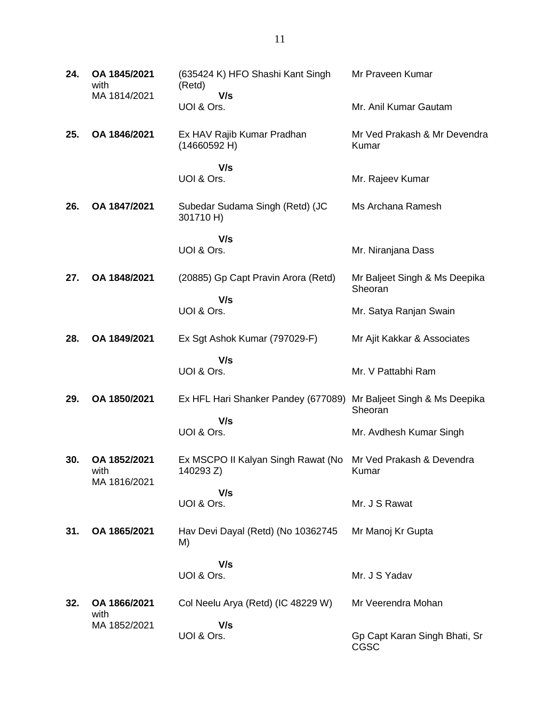| 24. | OA 1845/2021<br>with                 | (635424 K) HFO Shashi Kant Singh<br>(Retd)      | Mr Praveen Kumar                         |
|-----|--------------------------------------|-------------------------------------------------|------------------------------------------|
|     | MA 1814/2021                         | V/s<br>UOI & Ors.                               | Mr. Anil Kumar Gautam                    |
| 25. | OA 1846/2021                         | Ex HAV Rajib Kumar Pradhan<br>(14660592 H)      | Mr Ved Prakash & Mr Devendra<br>Kumar    |
|     |                                      | V/s<br>UOI & Ors.                               | Mr. Rajeev Kumar                         |
| 26. | OA 1847/2021                         | Subedar Sudama Singh (Retd) (JC<br>301710 H)    | Ms Archana Ramesh                        |
|     |                                      | V/s<br>UOI & Ors.                               | Mr. Niranjana Dass                       |
| 27. | OA 1848/2021                         | (20885) Gp Capt Pravin Arora (Retd)             | Mr Baljeet Singh & Ms Deepika<br>Sheoran |
|     |                                      | V/s<br>UOI & Ors.                               | Mr. Satya Ranjan Swain                   |
| 28. | OA 1849/2021                         | Ex Sgt Ashok Kumar (797029-F)                   | Mr Ajit Kakkar & Associates              |
|     |                                      | V/s<br>UOI & Ors.                               | Mr. V Pattabhi Ram                       |
| 29. | OA 1850/2021                         | Ex HFL Hari Shanker Pandey (677089)             | Mr Baljeet Singh & Ms Deepika<br>Sheoran |
|     |                                      | V/s<br>UOI & Ors.                               | Mr. Avdhesh Kumar Singh                  |
| 30. | OA 1852/2021<br>with<br>MA 1816/2021 | Ex MSCPO II Kalyan Singh Rawat (No<br>140293 Z) | Mr Ved Prakash & Devendra<br>Kumar       |
|     |                                      | V/s<br>UOI & Ors.                               | Mr. J S Rawat                            |
| 31. | OA 1865/2021                         | Hav Devi Dayal (Retd) (No 10362745<br>M)        | Mr Manoj Kr Gupta                        |
|     |                                      | V/s<br>UOI & Ors.                               | Mr. J S Yadav                            |
| 32. | OA 1866/2021<br>with                 | Col Neelu Arya (Retd) (IC 48229 W)              | Mr Veerendra Mohan                       |
|     | MA 1852/2021                         | V/s<br>UOI & Ors.                               | Gp Capt Karan Singh Bhati, Sr<br>CGSC    |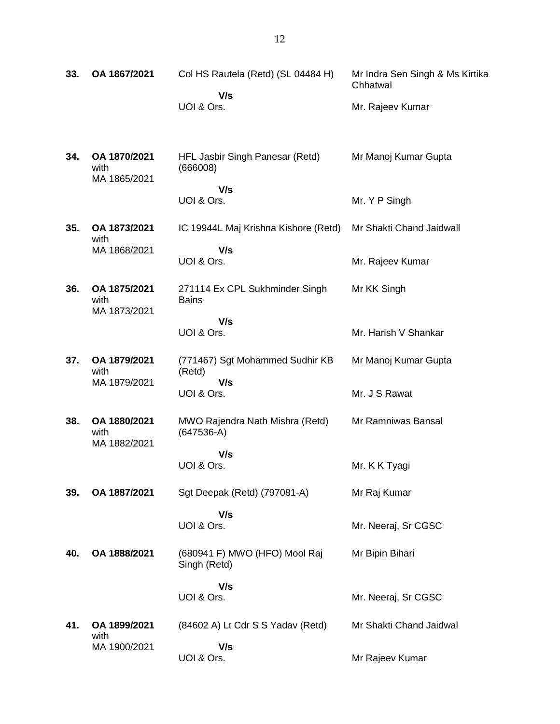| 33. | OA 1867/2021                         | Col HS Rautela (Retd) (SL 04484 H)              | Mr Indra Sen Singh & Ms Kirtika<br>Chhatwal |
|-----|--------------------------------------|-------------------------------------------------|---------------------------------------------|
|     |                                      | V/s<br>UOI & Ors.                               | Mr. Rajeev Kumar                            |
| 34. | OA 1870/2021<br>with<br>MA 1865/2021 | HFL Jasbir Singh Panesar (Retd)<br>(666008)     | Mr Manoj Kumar Gupta                        |
|     |                                      | V/s<br>UOI & Ors.                               | Mr. Y P Singh                               |
| 35. | OA 1873/2021<br>with                 | IC 19944L Maj Krishna Kishore (Retd)            | Mr Shakti Chand Jaidwall                    |
|     | MA 1868/2021                         | V/s<br>UOI & Ors.                               | Mr. Rajeev Kumar                            |
| 36. | OA 1875/2021<br>with<br>MA 1873/2021 | 271114 Ex CPL Sukhminder Singh<br><b>Bains</b>  | Mr KK Singh                                 |
|     |                                      | V/s<br>UOI & Ors.                               | Mr. Harish V Shankar                        |
| 37. | OA 1879/2021<br>with                 | (771467) Sgt Mohammed Sudhir KB<br>(Retd)       | Mr Manoj Kumar Gupta                        |
|     | MA 1879/2021                         | V/s<br>UOI & Ors.                               | Mr. J S Rawat                               |
| 38. | OA 1880/2021<br>with<br>MA 1882/2021 | MWO Rajendra Nath Mishra (Retd)<br>$(647536-A)$ | Mr Ramniwas Bansal                          |
|     |                                      | V/s<br>UOI & Ors.                               | Mr. K K Tyagi                               |
| 39. | OA 1887/2021                         | Sgt Deepak (Retd) (797081-A)                    | Mr Raj Kumar                                |
|     |                                      | V/s<br>UOI & Ors.                               | Mr. Neeraj, Sr CGSC                         |
| 40. | OA 1888/2021                         | (680941 F) MWO (HFO) Mool Raj<br>Singh (Retd)   | Mr Bipin Bihari                             |
|     |                                      | V/s<br>UOI & Ors.                               | Mr. Neeraj, Sr CGSC                         |
| 41. | OA 1899/2021<br>with                 | (84602 A) Lt Cdr S S Yadav (Retd)               | Mr Shakti Chand Jaidwal                     |
|     | MA 1900/2021                         | V/s<br>UOI & Ors.                               | Mr Rajeev Kumar                             |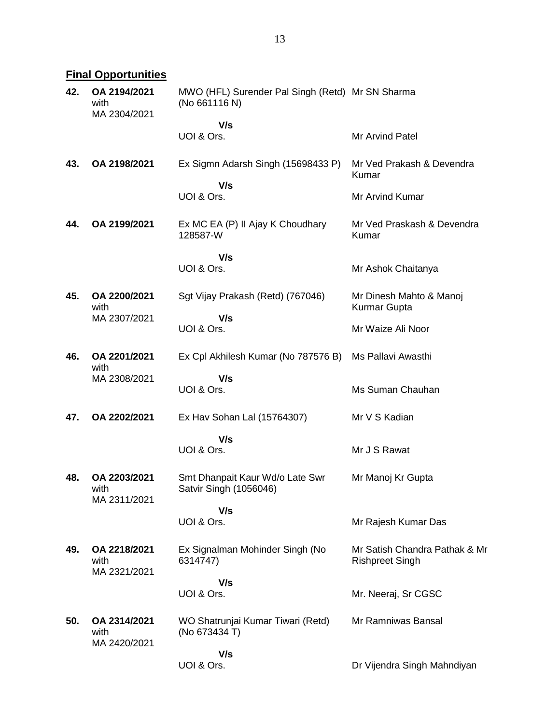# **Final Opportunities**

| 42. | OA 2194/2021<br>with<br>MA 2304/2021 | MWO (HFL) Surender Pal Singh (Retd) Mr SN Sharma<br>(No 661116 N) |                                                         |
|-----|--------------------------------------|-------------------------------------------------------------------|---------------------------------------------------------|
|     |                                      | V/s                                                               |                                                         |
|     |                                      | UOI & Ors.                                                        | Mr Arvind Patel                                         |
| 43. | OA 2198/2021                         | Ex Sigmn Adarsh Singh (15698433 P)                                | Mr Ved Prakash & Devendra<br>Kumar                      |
|     |                                      | V/s<br>UOI & Ors.                                                 | Mr Arvind Kumar                                         |
| 44. | OA 2199/2021                         | Ex MC EA (P) II Ajay K Choudhary<br>128587-W                      | Mr Ved Praskash & Devendra<br>Kumar                     |
|     |                                      | V/s                                                               |                                                         |
|     |                                      | UOI & Ors.                                                        | Mr Ashok Chaitanya                                      |
| 45. | OA 2200/2021<br>with                 | Sgt Vijay Prakash (Retd) (767046)                                 | Mr Dinesh Mahto & Manoj<br>Kurmar Gupta                 |
|     | MA 2307/2021                         | V/s<br>UOI & Ors.                                                 | Mr Waize Ali Noor                                       |
| 46. | OA 2201/2021<br>with                 | Ex Cpl Akhilesh Kumar (No 787576 B)                               | Ms Pallavi Awasthi                                      |
|     | MA 2308/2021                         | V/s                                                               |                                                         |
|     |                                      | UOI & Ors.                                                        | Ms Suman Chauhan                                        |
| 47. | OA 2202/2021                         | Ex Hav Sohan Lal (15764307)                                       | Mr V S Kadian                                           |
|     |                                      | V/s                                                               |                                                         |
|     |                                      | UOI & Ors.                                                        | Mr J S Rawat                                            |
| 48. | OA 2203/2021<br>with<br>MA 2311/2021 | Smt Dhanpait Kaur Wd/o Late Swr<br>Satvir Singh (1056046)         | Mr Manoj Kr Gupta                                       |
|     |                                      | V/s                                                               |                                                         |
|     |                                      | UOI & Ors.                                                        | Mr Rajesh Kumar Das                                     |
| 49. | OA 2218/2021<br>with<br>MA 2321/2021 | Ex Signalman Mohinder Singh (No<br>6314747)                       | Mr Satish Chandra Pathak & Mr<br><b>Rishpreet Singh</b> |
|     |                                      | V/s                                                               |                                                         |
|     |                                      | UOI & Ors.                                                        | Mr. Neeraj, Sr CGSC                                     |
| 50. | OA 2314/2021<br>with                 | WO Shatrunjai Kumar Tiwari (Retd)<br>(No 673434 T)                | Mr Ramniwas Bansal                                      |
|     | MA 2420/2021                         | V/s                                                               |                                                         |
|     |                                      | UOI & Ors.                                                        | Dr Vijendra Singh Mahndiyan                             |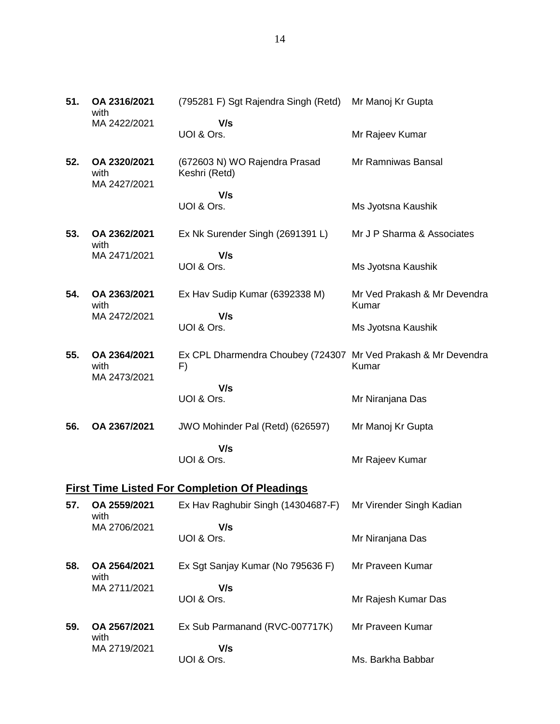| 51. | OA 2316/2021<br>with                 | (795281 F) Sgt Rajendra Singh (Retd)                                 | Mr Manoj Kr Gupta                     |
|-----|--------------------------------------|----------------------------------------------------------------------|---------------------------------------|
|     | MA 2422/2021                         | V/s<br>UOI & Ors.                                                    | Mr Rajeev Kumar                       |
| 52. | OA 2320/2021<br>with<br>MA 2427/2021 | (672603 N) WO Rajendra Prasad<br>Keshri (Retd)                       | Mr Ramniwas Bansal                    |
|     |                                      | V/s                                                                  |                                       |
|     |                                      | UOI & Ors.                                                           | Ms Jyotsna Kaushik                    |
| 53. | OA 2362/2021<br>with                 | Ex Nk Surender Singh (2691391 L)                                     | Mr J P Sharma & Associates            |
|     | MA 2471/2021                         | V/s<br>UOI & Ors.                                                    | Ms Jyotsna Kaushik                    |
| 54. | OA 2363/2021<br>with                 | Ex Hav Sudip Kumar (6392338 M)                                       | Mr Ved Prakash & Mr Devendra<br>Kumar |
|     | MA 2472/2021                         | V/s<br>UOI & Ors.                                                    | Ms Jyotsna Kaushik                    |
| 55. | OA 2364/2021<br>with                 | Ex CPL Dharmendra Choubey (724307 Mr Ved Prakash & Mr Devendra<br>F) | Kumar                                 |
|     | MA 2473/2021                         | V/s<br>UOI & Ors.                                                    | Mr Niranjana Das                      |
| 56. | OA 2367/2021                         | JWO Mohinder Pal (Retd) (626597)                                     | Mr Manoj Kr Gupta                     |
|     |                                      | V/s<br>UOI & Ors.                                                    | Mr Rajeev Kumar                       |
|     |                                      | <b>First Time Listed For Completion Of Pleadings</b>                 |                                       |
| 57. | OA 2559/2021                         | Ex Hav Raghubir Singh (14304687-F) Mr Virender Singh Kadian          |                                       |
|     | with<br>MA 2706/2021                 | V/s<br>UOI & Ors.                                                    | Mr Niranjana Das                      |
| 58. | OA 2564/2021<br>with                 | Ex Sgt Sanjay Kumar (No 795636 F)                                    | Mr Praveen Kumar                      |
|     | MA 2711/2021                         | V/s<br>UOI & Ors.                                                    | Mr Rajesh Kumar Das                   |
| 59. | OA 2567/2021                         | Ex Sub Parmanand (RVC-007717K)                                       | Mr Praveen Kumar                      |

with MA 2719/2021  **V/s** UOI & Ors. Ms. Barkha Babbar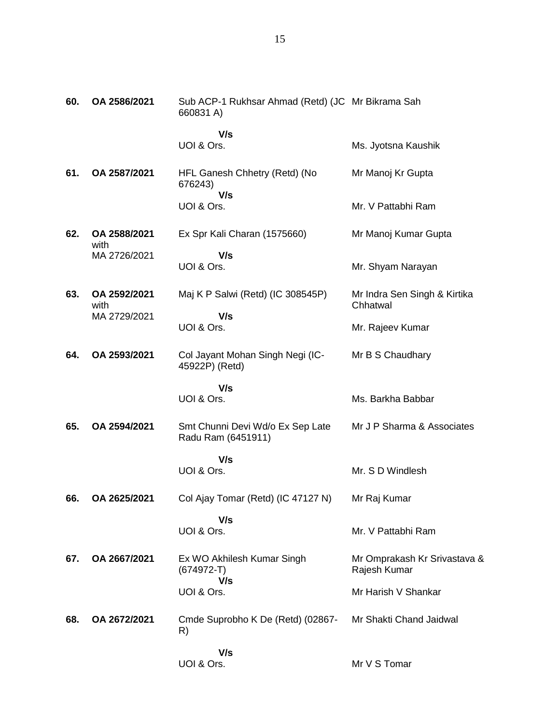| 60. | OA 2586/2021         | Sub ACP-1 Rukhsar Ahmad (Retd) (JC Mr Bikrama Sah<br>660831 A) |                                              |
|-----|----------------------|----------------------------------------------------------------|----------------------------------------------|
|     |                      | V/s                                                            |                                              |
|     |                      | UOI & Ors.                                                     | Ms. Jyotsna Kaushik                          |
| 61. | OA 2587/2021         | HFL Ganesh Chhetry (Retd) (No<br>676243)<br>V/s                | Mr Manoj Kr Gupta                            |
|     |                      | UOI & Ors.                                                     | Mr. V Pattabhi Ram                           |
| 62. | OA 2588/2021<br>with | Ex Spr Kali Charan (1575660)                                   | Mr Manoj Kumar Gupta                         |
|     | MA 2726/2021         | V/s<br>UOI & Ors.                                              | Mr. Shyam Narayan                            |
| 63. | OA 2592/2021<br>with | Maj K P Salwi (Retd) (IC 308545P)                              | Mr Indra Sen Singh & Kirtika<br>Chhatwal     |
|     | MA 2729/2021         | V/s<br>UOI & Ors.                                              | Mr. Rajeev Kumar                             |
| 64. | OA 2593/2021         | Col Jayant Mohan Singh Negi (IC-<br>45922P) (Retd)             | Mr B S Chaudhary                             |
|     |                      | V/s<br>UOI & Ors.                                              | Ms. Barkha Babbar                            |
| 65. | OA 2594/2021         | Smt Chunni Devi Wd/o Ex Sep Late<br>Radu Ram (6451911)         | Mr J P Sharma & Associates                   |
|     |                      | V/s<br>UOI & Ors.                                              | Mr. S D Windlesh                             |
| 66. | OA 2625/2021         | Col Ajay Tomar (Retd) (IC 47127 N)                             | Mr Raj Kumar                                 |
|     |                      | V/s<br>UOI & Ors.                                              | Mr. V Pattabhi Ram                           |
| 67. | OA 2667/2021         | Ex WO Akhilesh Kumar Singh<br>$(674972-T)$<br>V/s              | Mr Omprakash Kr Srivastava &<br>Rajesh Kumar |
|     |                      | UOI & Ors.                                                     | Mr Harish V Shankar                          |
| 68. | OA 2672/2021         | Cmde Suprobho K De (Retd) (02867-<br>R)                        | Mr Shakti Chand Jaidwal                      |
|     |                      | V/s<br>UOI & Ors.                                              | Mr V S Tomar                                 |